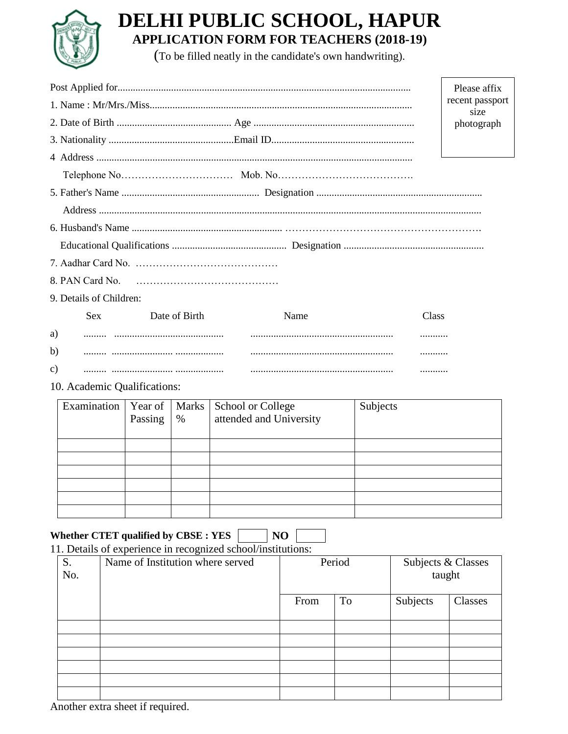

# **DELHI PUBLIC SCHOOL, HAPUR APPLICATION FORM FOR TEACHERS (2018-19)**

(To be filled neatly in the candidate's own handwriting).

|    |                         |               |      |       | Please affix |  |  |
|----|-------------------------|---------------|------|-------|--------------|--|--|
|    | recent passport<br>size |               |      |       |              |  |  |
|    |                         |               |      |       | photograph   |  |  |
|    |                         |               |      |       |              |  |  |
|    |                         |               |      |       |              |  |  |
|    |                         |               |      |       |              |  |  |
|    |                         |               |      |       |              |  |  |
|    |                         |               |      |       |              |  |  |
|    |                         |               |      |       |              |  |  |
|    |                         |               |      |       |              |  |  |
|    |                         |               |      |       |              |  |  |
|    |                         |               |      |       |              |  |  |
|    | 9. Details of Children: |               |      |       |              |  |  |
|    | <b>Sex</b>              | Date of Birth | Name | Class |              |  |  |
| a) |                         |               |      |       |              |  |  |
| b) |                         |               |      |       |              |  |  |

## c) ......... ........................ ................... ........................................................ ...........

#### 10. Academic Qualifications:

| Examination   Year of   Marks | Passing $\frac{1}{2}$ | <b>School or College</b><br>attended and University | Subjects |
|-------------------------------|-----------------------|-----------------------------------------------------|----------|
|                               |                       |                                                     |          |
|                               |                       |                                                     |          |
|                               |                       |                                                     |          |
|                               |                       |                                                     |          |
|                               |                       |                                                     |          |
|                               |                       |                                                     |          |

### **Whether CTET qualified by CBSE : YES NO**

#### 11. Details of experience in recognized school/institutions:

| S.<br>No. | ັ<br>Name of Institution where served | Period |    | Subjects & Classes<br>taught |         |
|-----------|---------------------------------------|--------|----|------------------------------|---------|
|           |                                       | From   | To | Subjects                     | Classes |
|           |                                       |        |    |                              |         |
|           |                                       |        |    |                              |         |
|           |                                       |        |    |                              |         |
|           |                                       |        |    |                              |         |
|           |                                       |        |    |                              |         |
|           |                                       |        |    |                              |         |

Another extra sheet if required.